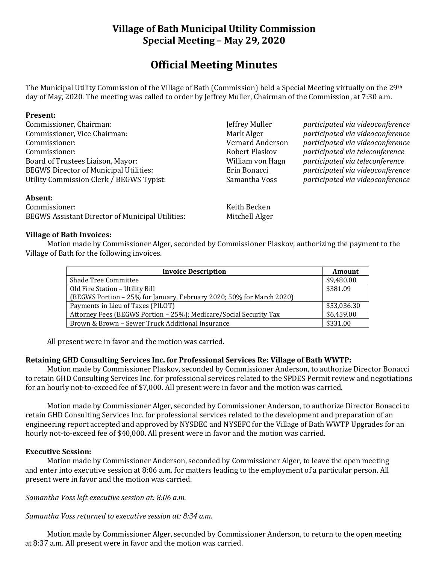# **Village of Bath Municipal Utility Commission Special Meeting – May 29, 2020**

# **Official Meeting Minutes**

The Municipal Utility Commission of the Village of Bath (Commission) held a Special Meeting virtually on the 29th day of May, 2020. The meeting was called to order by Jeffrey Muller, Chairman of the Commission, at 7:30 a.m.

#### **Present:**

| Commissioner, Chairman:                       | Jeffrey Muller   |  |
|-----------------------------------------------|------------------|--|
| Commissioner, Vice Chairman:                  | Mark Alger       |  |
| Commissioner:                                 | Vernard Anderson |  |
| Commissioner:                                 | Robert Plaskov   |  |
| Board of Trustees Liaison, Mayor:             | William von Hagn |  |
| <b>BEGWS Director of Municipal Utilities:</b> | Erin Bonacci     |  |
| Utility Commission Clerk / BEGWS Typist:      | Samantha Voss    |  |
|                                               |                  |  |

participated via videoconference participated via videoconference Commissioner: Vernard Anderson *participated via videoconference* Commissioner: Robert Plaskov *participated via teleconference* Board of Trustees Liaison, Mayor: William von Hagn *participated via teleconference* BEGWS Director of Municipal Utilities: Erin Bonacci *participated via videoconference* Utility Commission Clerk / BEGWS Typist: Samantha Voss *participated via videoconference*

#### **Absent:**

Commissioner: Keith Becken BEGWS Assistant Director of Municipal Utilities: Mitchell Alger

#### **Village of Bath Invoices:**

Motion made by Commissioner Alger, seconded by Commissioner Plaskov, authorizing the payment to the Village of Bath for the following invoices.

| <b>Invoice Description</b>                                           | Amount      |
|----------------------------------------------------------------------|-------------|
| <b>Shade Tree Committee</b>                                          | \$9,480.00  |
| Old Fire Station - Utility Bill                                      | \$381.09    |
| (BEGWS Portion - 25% for January, February 2020; 50% for March 2020) |             |
| Payments in Lieu of Taxes (PILOT)                                    | \$53,036.30 |
| Attorney Fees (BEGWS Portion - 25%); Medicare/Social Security Tax    | \$6,459.00  |
| Brown & Brown – Sewer Truck Additional Insurance                     | \$331.00    |

All present were in favor and the motion was carried.

## **Retaining GHD Consulting Services Inc. for Professional Services Re: Village of Bath WWTP:**

Motion made by Commissioner Plaskov, seconded by Commissioner Anderson, to authorize Director Bonacci to retain GHD Consulting Services Inc. for professional services related to the SPDES Permit review and negotiations for an hourly not-to-exceed fee of \$7,000. All present were in favor and the motion was carried.

Motion made by Commissioner Alger, seconded by Commissioner Anderson, to authorize Director Bonacci to retain GHD Consulting Services Inc. for professional services related to the development and preparation of an engineering report accepted and approved by NYSDEC and NYSEFC for the Village of Bath WWTP Upgrades for an hourly not-to-exceed fee of \$40,000. All present were in favor and the motion was carried.

## **Executive Session:**

Motion made by Commissioner Anderson, seconded by Commissioner Alger, to leave the open meeting and enter into executive session at 8:06 a.m. for matters leading to the employment of a particular person. All present were in favor and the motion was carried.

*Samantha Voss left executive session at: 8:06 a.m.*

*Samantha Voss returned to executive session at: 8:34 a.m.*

Motion made by Commissioner Alger, seconded by Commissioner Anderson, to return to the open meeting at 8:37 a.m. All present were in favor and the motion was carried.